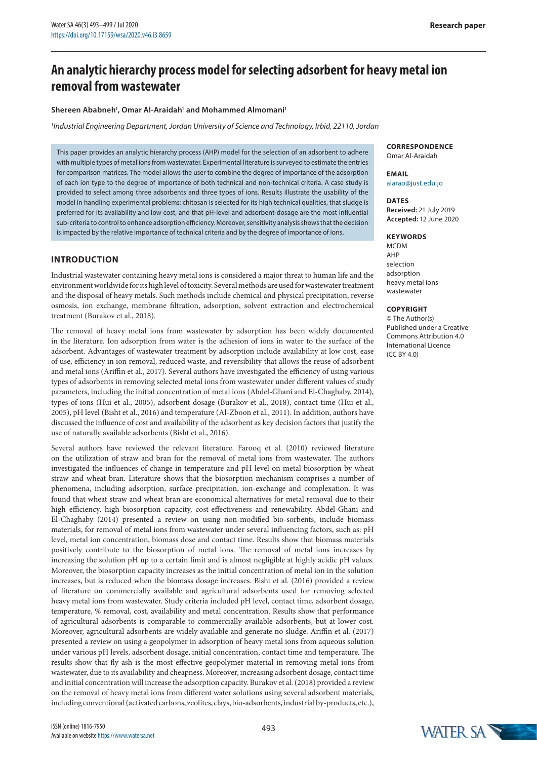# **An analytic hierarchy process model for selecting adsorbent for heavy metal ion removal from wastewater**

#### **Shereen Ababneh1 , Omar Al-Araidah1 and Mohammed Almomani1**

*1 Industrial Engineering Department, Jordan University of Science and Technology, Irbid, 22110, Jordan*

This paper provides an analytic hierarchy process (AHP) model for the selection of an adsorbent to adhere with multiple types of metal ions from wastewater. Experimental literature is surveyed to estimate the entries for comparison matrices. The model allows the user to combine the degree of importance of the adsorption of each ion type to the degree of importance of both technical and non-technical criteria. A case study is provided to select among three adsorbents and three types of ions. Results illustrate the usability of the model in handling experimental problems; chitosan is selected for its high technical qualities, that sludge is preferred for its availability and low cost, and that pH-level and adsorbent-dosage are the most influential sub-criteria to control to enhance adsorption efficiency. Moreover, sensitivity analysis shows that the decision is impacted by the relative importance of technical criteria and by the degree of importance of ions.

## **INTRODUCTION**

Industrial wastewater containing heavy metal ions is considered a major threat to human life and the environment worldwide for its high level of toxicity. Several methods are used for wastewater treatment and the disposal of heavy metals. Such methods include chemical and physical precipitation, reverse osmosis, ion exchange, membrane filtration, adsorption, solvent extraction and electrochemical treatment (Burakov et al., 2018).

The removal of heavy metal ions from wastewater by adsorption has been widely documented in the literature. Ion adsorption from water is the adhesion of ions in water to the surface of the adsorbent. Advantages of wastewater treatment by adsorption include availability at low cost, ease of use, efficiency in ion removal, reduced waste, and reversibility that allows the reuse of adsorbent and metal ions (Ariffin et al., 2017). Several authors have investigated the efficiency of using various types of adsorbents in removing selected metal ions from wastewater under different values of study parameters, including the initial concentration of metal ions (Abdel-Ghani and El-Chaghaby, 2014), types of ions (Hui et al., 2005), adsorbent dosage (Burakov et al., 2018), contact time (Hui et al., 2005), pH level (Bisht et al., 2016) and temperature (Al-Zboon et al., 2011). In addition, authors have discussed the influence of cost and availability of the adsorbent as key decision factors that justify the use of naturally available adsorbents (Bisht et al., 2016).

Several authors have reviewed the relevant literature. Farooq et al. (2010) reviewed literature on the utilization of straw and bran for the removal of metal ions from wastewater. The authors investigated the influences of change in temperature and pH level on metal biosorption by wheat straw and wheat bran. Literature shows that the biosorption mechanism comprises a number of phenomena, including adsorption, surface precipitation, ion-exchange and complexation. It was found that wheat straw and wheat bran are economical alternatives for metal removal due to their high efficiency, high biosorption capacity, cost-effectiveness and renewability. Abdel-Ghani and El-Chaghaby (2014) presented a review on using non-modified bio-sorbents, include biomass materials, for removal of metal ions from wastewater under several influencing factors, such as: pH level, metal ion concentration, biomass dose and contact time. Results show that biomass materials positively contribute to the biosorption of metal ions. The removal of metal ions increases by increasing the solution pH up to a certain limit and is almost negligible at highly acidic pH values. Moreover, the biosorption capacity increases as the initial concentration of metal ion in the solution increases, but is reduced when the biomass dosage increases. Bisht et al. (2016) provided a review of literature on commercially available and agricultural adsorbents used for removing selected heavy metal ions from wastewater. Study criteria included pH level, contact time, adsorbent dosage, temperature, % removal, cost, availability and metal concentration. Results show that performance of agricultural adsorbents is comparable to commercially available adsorbents, but at lower cost. Moreover, agricultural adsorbents are widely available and generate no sludge. Ariffin et al. (2017) presented a review on using a geopolymer in adsorption of heavy metal ions from aqueous solution under various pH levels, adsorbent dosage, initial concentration, contact time and temperature. The results show that fly ash is the most effective geopolymer material in removing metal ions from wastewater, due to its availability and cheapness. Moreover, increasing adsorbent dosage, contact time and initial concentration will increase the adsorption capacity. Burakov et al. (2018) provided a review on the removal of heavy metal ions from different water solutions using several adsorbent materials, including conventional (activated carbons, zeolites, clays, bio-adsorbents, industrial by-products, etc.),

#### **CORRESPONDENCE** Omar Al-Araidah

**EMAIL** alarao@just.edu.jo

**DATES Received:** 21 July 2019 **Accepted:** 12 June 2020

#### **KEYWORDS**

**MCDM** AHP selection adsorption heavy metal ions wastewater

#### **COPYRIGHT**

© The Author(s) Published under a Creative Commons Attribution 4.0 International Licence  $(CCRY 40)$ 

WATER SA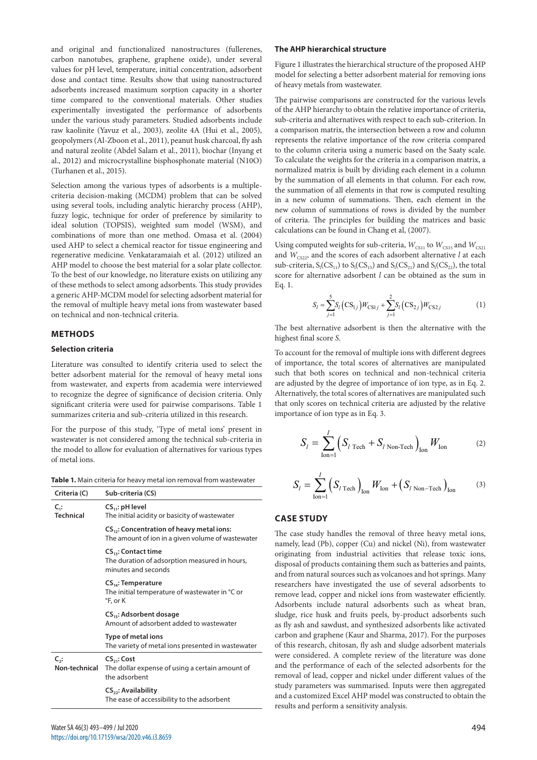and original and functionalized nanostructures (fullerenes, carbon nanotubes, graphene, graphene oxide), under several values for pH level, temperature, initial concentration, adsorbent dose and contact time. Results show that using nanostructured adsorbents increased maximum sorption capacity in a shorter time compared to the conventional materials. Other studies experimentally investigated the performance of adsorbents under the various study parameters. Studied adsorbents include raw kaolinite (Yavuz et al., 2003), zeolite 4A (Hui et al., 2005), geopolymers (Al-Zboon et al., 2011), peanut husk charcoal, fly ash and natural zeolite (Abdel Salam et al., 2011), biochar (Inyang et al., 2012) and microcrystalline bisphosphonate material (N10O) (Turhanen et al., 2015).

Selection among the various types of adsorbents is a multiplecriteria decision-making (MCDM) problem that can be solved using several tools, including analytic hierarchy process (AHP), fuzzy logic, technique for order of preference by similarity to ideal solution (TOPSIS), weighted sum model (WSM), and combinations of more than one method. Omasa et al. (2004) used AHP to select a chemical reactor for tissue engineering and regenerative medicine. Venkataramaiah et al. (2012) utilized an AHP model to choose the best material for a solar plate collector. To the best of our knowledge, no literature exists on utilizing any of these methods to select among adsorbents. This study provides a generic AHP-MCDM model for selecting adsorbent material for the removal of multiple heavy metal ions from wastewater based on technical and non-technical criteria.

# **METHODS**

## **Selection criteria**

Literature was consulted to identify criteria used to select the better adsorbent material for the removal of heavy metal ions from wastewater, and experts from academia were interviewed to recognize the degree of significance of decision criteria. Only significant criteria were used for pairwise comparisons. Table 1 summarizes criteria and sub-criteria utilized in this research.

For the purpose of this study, 'Type of metal ions' present in wastewater is not considered among the technical sub-criteria in the model to allow for evaluation of alternatives for various types of metal ions.

| Criteria (C)                  | Sub-criteria (CS)                                                                                          |
|-------------------------------|------------------------------------------------------------------------------------------------------------|
| $C_{1}$ :<br><b>Technical</b> | $CS_{11}$ : pH level<br>The initial acidity or basicity of wastewater                                      |
|                               | CS <sub>12</sub> : Concentration of heavy metal ions:<br>The amount of ion in a given volume of wastewater |
|                               | $CS_{13}$ : Contact time<br>The duration of adsorption measured in hours,<br>minutes and seconds           |
|                               | $CS_{14}$ : Temperature<br>The initial temperature of wastewater in °C or<br>°F, or K                      |
|                               | CS <sub>15</sub> : Adsorbent dosage<br>Amount of adsorbent added to wastewater                             |
|                               | Type of metal ions<br>The variety of metal ions presented in wastewater                                    |
| $C_{2}$ :<br>Non-technical    | $CS_{21}$ : Cost<br>The dollar expense of using a certain amount of<br>the adsorbent                       |
|                               | $CS_{22}$ : Availability<br>The ease of accessibility to the adsorbent                                     |

### **The AHP hierarchical structure**

Figure 1 illustrates the hierarchical structure of the proposed AHP model for selecting a better adsorbent material for removing ions of heavy metals from wastewater.

The pairwise comparisons are constructed for the various levels of the AHP hierarchy to obtain the relative importance of criteria, sub-criteria and alternatives with respect to each sub-criterion. In a comparison matrix, the intersection between a row and column represents the relative importance of the row criteria compared to the column criteria using a numeric based on the Saaty scale. To calculate the weights for the criteria in a comparison matrix, a normalized matrix is built by dividing each element in a column by the summation of all elements in that column. For each row, the summation of all elements in that row is computed resulting in a new column of summations. Then, each element in the new column of summations of rows is divided by the number of criteria. The principles for building the matrices and basic calculations can be found in Chang et al, (2007).

Using computed weights for sub-criteria,  $W_{CS11}$  to  $W_{CS15}$  and  $W_{CS21}$ and  $W_{\text{C522}}$ , and the scores of each adsorbent alternative *l* at each sub-criteria,  $S_1(CS_{11})$  to  $S_1(CS_{15})$  and  $S_1(CS_{21})$  and  $S_1(CS_{22})$ , the total score for alternative adsorbent *l* can be obtained as the sum in Eq. 1.

$$
S_l = \sum_{j=1}^{5} S_l (CS_{1j}) W_{CS1j} + \sum_{j=1}^{2} S_l (CS_{2j}) W_{CS2j}
$$
 (1)

The best alternative adsorbent is then the alternative with the highest final score *S*.

To account for the removal of multiple ions with different degrees of importance, the total scores of alternatives are manipulated such that both scores on technical and non-technical criteria are adjusted by the degree of importance of ion type, as in Eq. 2. Alternatively, the total scores of alternatives are manipulated such that only scores on technical criteria are adjusted by the relative importance of ion type as in Eq. 3.

$$
S_{l} = \sum_{\text{Ion}=1}^{I} \left( S_{l \text{ Tech}} + S_{l \text{ Non-Tech}} \right)_{\text{Ion}} W_{\text{Ion}}
$$
 (2)

$$
S_{l} = \sum_{\text{lon}=1}^{I} \left( S_{l \text{ Tech}} \right)_{\text{Ion}} W_{\text{lon}} + \left( S_{l \text{ Non-Techn}} \right)_{\text{Ion}} \tag{3}
$$

## **CASE STUDY**

The case study handles the removal of three heavy metal ions, namely, lead (Pb), copper (Cu) and nickel (Ni), from wastewater originating from industrial activities that release toxic ions, disposal of products containing them such as batteries and paints, and from natural sources such as volcanoes and hot springs. Many researchers have investigated the use of several adsorbents to remove lead, copper and nickel ions from wastewater efficiently. Adsorbents include natural adsorbents such as wheat bran, sludge, rice husk and fruits peels, by-product adsorbents such as fly ash and sawdust, and synthesized adsorbents like activated carbon and graphene (Kaur and Sharma, 2017). For the purposes of this research, chitosan, fly ash and sludge adsorbent materials were considered. A complete review of the literature was done and the performance of each of the selected adsorbents for the removal of lead, copper and nickel under different values of the study parameters was summarised. Inputs were then aggregated and a customized Excel AHP model was constructed to obtain the results and perform a sensitivity analysis.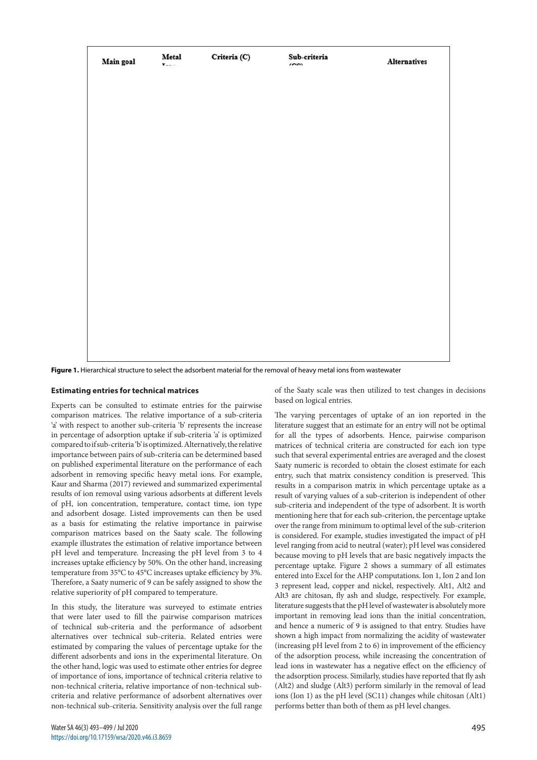| Main goal | Metal<br>х. | Criteria (C) | Sub-criteria<br>$\sim$ | Alternatives |
|-----------|-------------|--------------|------------------------|--------------|
|           |             |              |                        |              |
|           |             |              |                        |              |
|           |             |              |                        |              |
|           |             |              |                        |              |
|           |             |              |                        |              |
|           |             |              |                        |              |
|           |             |              |                        |              |
|           |             |              |                        |              |
|           |             |              |                        |              |
|           |             |              |                        |              |
|           |             |              |                        |              |
|           |             |              |                        |              |
|           |             |              |                        |              |
|           |             |              |                        |              |
|           |             |              |                        |              |
|           |             |              |                        |              |

**Figure 1.** Hierarchical structure to select the adsorbent material for the removal of heavy metal ions from wastewater

#### **Estimating entries for technical matrices**

Experts can be consulted to estimate entries for the pairwise comparison matrices. The relative importance of a sub-criteria 'a' with respect to another sub-criteria 'b' represents the increase in percentage of adsorption uptake if sub-criteria 'a' is optimized compared to if sub-criteria 'b' is optimized. Alternatively, the relative importance between pairs of sub-criteria can be determined based on published experimental literature on the performance of each adsorbent in removing specific heavy metal ions. For example, Kaur and Sharma (2017) reviewed and summarized experimental results of ion removal using various adsorbents at different levels of pH, ion concentration, temperature, contact time, ion type and adsorbent dosage. Listed improvements can then be used as a basis for estimating the relative importance in pairwise comparison matrices based on the Saaty scale. The following example illustrates the estimation of relative importance between pH level and temperature. Increasing the pH level from 3 to 4 increases uptake efficiency by 50%. On the other hand, increasing temperature from 35°C to 45°C increases uptake efficiency by 3%. Therefore, a Saaty numeric of 9 can be safely assigned to show the relative superiority of pH compared to temperature.

In this study, the literature was surveyed to estimate entries that were later used to fill the pairwise comparison matrices of technical sub-criteria and the performance of adsorbent alternatives over technical sub-criteria. Related entries were estimated by comparing the values of percentage uptake for the different adsorbents and ions in the experimental literature. On the other hand, logic was used to estimate other entries for degree of importance of ions, importance of technical criteria relative to non-technical criteria, relative importance of non-technical subcriteria and relative performance of adsorbent alternatives over non-technical sub-criteria. Sensitivity analysis over the full range

of the Saaty scale was then utilized to test changes in decisions based on logical entries.

The varying percentages of uptake of an ion reported in the literature suggest that an estimate for an entry will not be optimal for all the types of adsorbents. Hence, pairwise comparison matrices of technical criteria are constructed for each ion type such that several experimental entries are averaged and the closest Saaty numeric is recorded to obtain the closest estimate for each entry, such that matrix consistency condition is preserved. This results in a comparison matrix in which percentage uptake as a result of varying values of a sub-criterion is independent of other sub-criteria and independent of the type of adsorbent. It is worth mentioning here that for each sub-criterion, the percentage uptake over the range from minimum to optimal level of the sub-criterion is considered. For example, studies investigated the impact of pH level ranging from acid to neutral (water); pH level was considered because moving to pH levels that are basic negatively impacts the percentage uptake. Figure 2 shows a summary of all estimates entered into Excel for the AHP computations. Ion 1, Ion 2 and Ion 3 represent lead, copper and nickel, respectively. Alt1, Alt2 and Alt3 are chitosan, fly ash and sludge, respectively. For example, literature suggests that the pH level of wastewater is absolutely more important in removing lead ions than the initial concentration, and hence a numeric of 9 is assigned to that entry. Studies have shown a high impact from normalizing the acidity of wastewater (increasing pH level from 2 to 6) in improvement of the efficiency of the adsorption process, while increasing the concentration of lead ions in wastewater has a negative effect on the efficiency of the adsorption process. Similarly, studies have reported that fly ash (Alt2) and sludge (Alt3) perform similarly in the removal of lead ions (Ion 1) as the pH level (SC11) changes while chitosan (Alt1) performs better than both of them as pH level changes.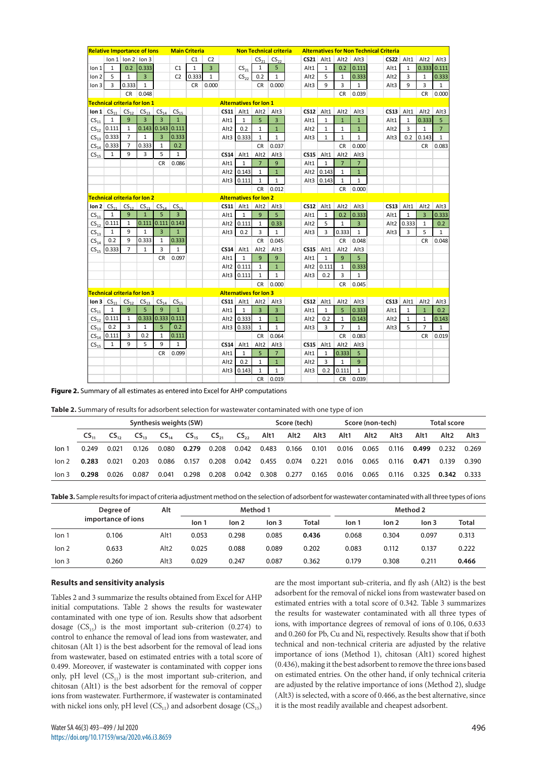|                   |                  |                | <b>Relative Importance of lons</b> |                     |                  | <b>Main Criteria</b> |                |                  |                               |                  | <b>Non Technical criteria</b> | <b>Alternatives for Non Technical Criteria</b> |              |                  |                |  |                  |              |                  |                |
|-------------------|------------------|----------------|------------------------------------|---------------------|------------------|----------------------|----------------|------------------|-------------------------------|------------------|-------------------------------|------------------------------------------------|--------------|------------------|----------------|--|------------------|--------------|------------------|----------------|
|                   |                  |                | $\ln 1$ $\ln 2$ $\ln 3$            |                     |                  | C1                   | C <sub>2</sub> |                  |                               | $CS_{21}$        | $CS_{22}$                     |                                                | $CS21$ Alt1  | Alt <sub>2</sub> | Alt3           |  |                  | $CS22$ Alt1  | Alt <sub>2</sub> | Alt3           |
| Ion 1             | 1                | 0.2            | 0.333                              |                     | C1               | $\mathbf{1}$         | $\mathbf{3}$   |                  | $CS_{21}$                     | 1                | 5                             | Alt1                                           | $1\,$        | 0.2              | 0.111          |  | Alt1             | $\mathbf{1}$ | 0.333            | 0.111          |
| Ion 2             | 5                | $\mathbf{1}$   | $\overline{3}$                     |                     | C <sub>2</sub>   | 0.333                | $\mathbf{1}$   |                  | $CS_{22}$                     | 0.2              | 1                             | Alt2                                           | 5            | 1                | 0.333          |  | Alt <sub>2</sub> | 3            | 1                | 0.333          |
| lon <sub>3</sub>  | 3                | 0.333          | $\mathbf{1}$                       |                     |                  | CR                   | 0.000          |                  |                               | CR               | 0.000                         | Alt3                                           | 9            | 3                | $\mathbf{1}$   |  | Alt3             | 9            | 3                | $\mathbf{1}$   |
|                   |                  | CR             | 0.048                              |                     |                  |                      |                |                  |                               |                  |                               |                                                |              | CR               | 0.039          |  |                  |              | CR               | 0.000          |
|                   |                  |                | Technical criteria for Ion 1       |                     |                  |                      |                |                  | <b>Alternatives for lon 1</b> |                  |                               |                                                |              |                  |                |  |                  |              |                  |                |
| Ion $1 \nC5_{11}$ |                  | $CS_{12}$      | CS <sub>13</sub>                   | CS <sub>14</sub>    | CS <sub>15</sub> |                      |                |                  | $CS11$ Alt1                   | Alt <sub>2</sub> | Alt3                          | CS12                                           | Alt1         | Alt2             | Alt3           |  | CS13             | Alt1         | Alt2             | Alt3           |
| CS <sub>11</sub>  | 1                | 9              | 3                                  | 3                   | $\mathbf{1}$     |                      |                | Alt1             | $\mathbf{1}$                  | 5                | $\overline{3}$                | Alt1                                           | $\mathbf{1}$ | $\mathbf{1}$     | $\mathbf{1}$   |  | Alt1             | $\mathbf{1}$ | 0.333            | 5              |
| $CS_{12}$         | 0.111            | $\mathbf{1}$   | $0.143$ 0.143                      |                     | 0.111            |                      |                | Alt2             | 0.2                           | $\mathbf{1}$     | $\mathbf 1$                   | Alt <sub>2</sub>                               | 1            | 1                | $\mathbf{1}$   |  | Alt <sub>2</sub> | 3            | 1                | $\overline{7}$ |
| CS <sub>13</sub>  | 0.333            | $\overline{7}$ | $\mathbf{1}$                       | $\overline{3}$      | 0.333            |                      |                |                  | Alt3 0.333                    | $\mathbf{1}$     | $\mathbf 1$                   | Alt3                                           | $\mathbf{1}$ | $\mathbf{1}$     | $\mathbf{1}$   |  | Alt3             | 0.2          | 0.143            | $\mathbf{1}$   |
| CS <sub>14</sub>  | 0.333            | $\overline{7}$ | 0.333                              | 1                   | 0.2              |                      |                |                  |                               | <b>CR</b>        | 0.037                         |                                                |              | <b>CR</b>        | 0.000          |  |                  |              | <b>CR</b>        | 0.083          |
| CS <sub>15</sub>  | $\mathbf{1}$     | 9              | 3                                  | 5                   | $\mathbf{1}$     |                      |                | <b>CS14</b>      | Alt1                          | Alt <sub>2</sub> | Alt3                          | <b>CS15</b>                                    | Alt1         | Alt <sub>2</sub> | Alt3           |  |                  |              |                  |                |
|                   |                  |                |                                    | CR.                 | 0.086            |                      |                | Alt1             | $\mathbf{1}$                  | $\overline{7}$   | 9                             | Alt1                                           | $\mathbf{1}$ | $\overline{7}$   | $7^{\circ}$    |  |                  |              |                  |                |
|                   |                  |                |                                    |                     |                  |                      |                |                  | Alt2 0.143                    | 1                | $\mathbf{1}$                  |                                                | Alt2 0.143   | 1                | $\mathbf{1}$   |  |                  |              |                  |                |
|                   |                  |                |                                    |                     |                  |                      |                |                  | Alt3 0.111                    | $\mathbf{1}$     | $\mathbf{1}$                  |                                                | Alt3 0.143   | $\mathbf{1}$     | $\mathbf{1}$   |  |                  |              |                  |                |
|                   |                  |                |                                    |                     |                  |                      |                |                  |                               | CR               | 0.012                         |                                                |              | CR               | 0.000          |  |                  |              |                  |                |
|                   |                  |                | Technical criteria for Ion 2       |                     |                  |                      |                |                  | <b>Alternatives for lon 2</b> |                  |                               |                                                |              |                  |                |  |                  |              |                  |                |
|                   | Ion $2 CS_{11} $ | $CS_{12}$      |                                    | $CS_{13}$ $CS_{14}$ | CS <sub>15</sub> |                      |                |                  | $CS11$ Alt1                   | Alt <sub>2</sub> | Alt3                          |                                                | $CS12$ Alt1  | Alt2             | Alt3           |  |                  | $CS13$ Alt1  | Alt2             | Alt3           |
| CS <sub>11</sub>  | 1                | 9              | $\mathbf{1}$                       | 5                   | $\overline{3}$   |                      |                | Alt1             | $\mathbf 1$                   | 9                | 5                             | Alt1                                           | $1\,$        | 0.2              | 0.333          |  | Alt1             | $\mathbf 1$  | 3                | 0.333          |
| $CS_{12}$         | 0.111            | $\mathbf 1$    | 0.111                              | 0.111               | 0.143            |                      |                |                  | Alt2 0.111                    | 1                | 0.33                          | Alt <sub>2</sub>                               | 5            | 1                | $\overline{3}$ |  | Alt2             | 0.333        | $\mathbf{1}$     | 0.2            |
| CS <sub>13</sub>  | $\mathbf{1}$     | 9              | $\mathbf{1}$                       | $\overline{3}$      | $\mathbf{1}$     |                      |                | Alt3             | 0.2                           | 3                | $\mathbf{1}$                  | Alt3                                           | 3            | 0.333            | $\mathbf{1}$   |  | Alt3             | 3            | 5                | $\mathbf{1}$   |
| CS <sub>14</sub>  | 0.2              | 9              | 0.333                              | 1                   | 0.333            |                      |                |                  |                               | <b>CR</b>        | 0.045                         |                                                |              | <b>CR</b>        | 0.048          |  |                  |              | <b>CR</b>        | 0.048          |
|                   | $CS_{15}$ 0.333  | $\overline{7}$ | 1                                  | 3                   | $\mathbf{1}$     |                      |                | <b>CS14</b>      | Alt1                          | Alt <sub>2</sub> | Alt3                          | <b>CS15</b>                                    | Alt1         | Alt <sub>2</sub> | Alt3           |  |                  |              |                  |                |
|                   |                  |                |                                    | CR.                 | 0.097            |                      |                | Alt1             | $\mathbf{1}$                  | 9                | 9                             | Alt1                                           | $\mathbf{1}$ | 9                | 5              |  |                  |              |                  |                |
|                   |                  |                |                                    |                     |                  |                      |                |                  | Alt2 0.111                    | 1                | $\mathbf{1}$                  |                                                | Alt2 0.111   | $\mathbf{1}$     | 0.333          |  |                  |              |                  |                |
|                   |                  |                |                                    |                     |                  |                      |                |                  | Alt3 0.111                    | 1                | $\mathbf{1}$                  | Alt3                                           | 0.2          | 3                | 1              |  |                  |              |                  |                |
|                   |                  |                |                                    |                     |                  |                      |                |                  |                               | <b>CR</b>        | 0.000                         |                                                |              | <b>CR</b>        | 0.045          |  |                  |              |                  |                |
|                   |                  |                | Technical criteria for Ion 3       |                     |                  |                      |                |                  | <b>Alternatives for Ion 3</b> |                  |                               |                                                |              |                  |                |  |                  |              |                  |                |
| Ion 3 $CS_{11}$   |                  | $CS_{12}$      | CS <sub>13</sub>                   | CS <sub>14</sub>    | CS <sub>15</sub> |                      |                |                  | $CS11$ Alt1                   | Alt <sub>2</sub> | Alt3                          |                                                | $CS12$ Alt1  | Alt2             | Alt3           |  | <b>CS13</b>      | Alt1         | Alt <sub>2</sub> | Alt3           |
| CS <sub>11</sub>  | 1                | 9              | 5                                  | $\mathbf{q}$        | $\mathbf{1}$     |                      |                | Alt1             | $\mathbf{1}$                  | 3                | 3                             | Alt1                                           | $\mathbf{1}$ | 5                | 0.333          |  | Alt1             | $\mathbf{1}$ | $\mathbf 1$      | 0.2            |
| $CS_{12}$         | 0.111            | $\mathbf{1}$   |                                    | 0.333   0.333       | 0.111            |                      |                |                  | Alt2 0.333                    | $\mathbf{1}$     | $\mathbf 1$                   | Alt <sub>2</sub>                               | 0.2          | $\mathbf{1}$     | 0.143          |  | Alt <sub>2</sub> | $1\,$        | $\mathbf{1}$     | 0.143          |
| CS <sub>13</sub>  | 0.2              | 3              | $\mathbf 1$                        | 5                   | 0.2              |                      |                |                  | Alt3 0.333                    | $\mathbf{1}$     | $\mathbf 1$                   | Alt3                                           | 3            | $\overline{7}$   | $\mathbf{1}$   |  | Alt3             | 5            | $\overline{7}$   | $\mathbf{1}$   |
| CS <sub>14</sub>  | 0.111            | 3              | 0.2                                | $\mathbf{1}$        | 0.111            |                      |                |                  |                               | <b>CR</b>        | 0.064                         |                                                |              | <b>CR</b>        | 0.083          |  |                  |              | <b>CR</b>        | 0.019          |
| $CS_{15}$         | 1                | 9              | 5                                  | 9                   | $\mathbf{1}$     |                      |                | <b>CS14</b>      | Alt1                          | Alt2             | Alt3                          | <b>CS15</b>                                    | Alt1         | Alt2             | Alt3           |  |                  |              |                  |                |
|                   |                  |                |                                    | <b>CR</b>           | 0.099            |                      |                | Alt1             | $\mathbf{1}$                  | 5                | $\overline{7}$                | Alt1                                           | 1            | 0.333            | 5              |  |                  |              |                  |                |
|                   |                  |                |                                    |                     |                  |                      |                | Alt <sub>2</sub> | 0.2                           | $\mathbf{1}$     | $\mathbf{1}$                  | Alt <sub>2</sub>                               | 3            | $\mathbf{1}$     | 9              |  |                  |              |                  |                |
|                   |                  |                |                                    |                     |                  |                      |                | Alt3             | 0.143                         | 1                | 1                             | Alt3                                           | 0.2          | 0.111            | 1              |  |                  |              |                  |                |
|                   |                  |                |                                    |                     |                  |                      |                |                  |                               | <b>CR</b>        | 0.019                         |                                                |              | <b>CR</b>        | 0.039          |  |                  |              |                  |                |

**Figure 2.** Summary of all estimates as entered into Excel for AHP computations

**Table 2.** Summary of results for adsorbent selection for wastewater contaminated with one type of ion

|                  | Synthesis weights (SW) |           |           |           |           |           |           |       | Score (tech) |       |       | Score (non-tech) |       | <b>Total score</b> |       |       |
|------------------|------------------------|-----------|-----------|-----------|-----------|-----------|-----------|-------|--------------|-------|-------|------------------|-------|--------------------|-------|-------|
|                  | $CS_{11}$              | $CS_{12}$ | $CS_{13}$ | $CS_{14}$ | $CS_{15}$ | $CS_{21}$ | $CS_{22}$ | Alt1  | Alt2         | Alt3  | Alt1  | Alt2             | Alt3  | Alt1               | Alt2  | Alt3  |
| lon 1            | 0.249                  | 0.021     | 0.126     | 0.080     | 0.279     | 0.208     | 0.042     | 0.483 | 0.166        | 0.101 | 0.016 | 0.065            | 0.116 | 0.499              | 0.232 | 0.269 |
| $\ln 2$          | 0.283                  | 0.021     | 0.203     | 0.086     | 0.157     | 0.208     | 0.042     | 0.455 | 0.074        | 0.221 | 0.016 | 0.065            | 0.116 | 0.471              | 0.139 | 0.390 |
| lon <sub>3</sub> | 0.298                  | 0.026     | 0.087     | 0.041     | 0.298     | 0.208     | 0.042     | 0.308 | 0.277        | 0.165 | 0.016 | 0.065            | 0.116 | 0.325              | 0.342 | 0.333 |

**Table 3.** Sample results for impact of criteria adjustment method on the selection of adsorbent for wastewater contaminated with all three types of ions

|                  | Degree of          | Alt              |       | Method 1         |       |       | Method 2 |                  |                  |              |  |  |  |
|------------------|--------------------|------------------|-------|------------------|-------|-------|----------|------------------|------------------|--------------|--|--|--|
|                  | importance of ions |                  | lon 1 | lon <sub>2</sub> | lon 3 | Total | lon 1    | lon <sub>2</sub> | lon <sub>3</sub> | <b>Total</b> |  |  |  |
| lon 1            | 0.106              | Alt1             | 0.053 | 0.298            | 0.085 | 0.436 | 0.068    | 0.304            | 0.097            | 0.313        |  |  |  |
| lon <sub>2</sub> | 0.633              | Alt <sub>2</sub> | 0.025 | 0.088            | 0.089 | 0.202 | 0.083    | 0.112            | 0.137            | 0.222        |  |  |  |
| lon 3            | 0.260              | Alt <sub>3</sub> | 0.029 | 0.247            | 0.087 | 0.362 | 0.179    | 0.308            | 0.211            | 0.466        |  |  |  |

#### **Results and sensitivity analysis**

Tables 2 and 3 summarize the results obtained from Excel for AHP initial computations. Table 2 shows the results for wastewater contaminated with one type of ion. Results show that adsorbent dosage  $(CS<sub>15</sub>)$  is the most important sub-criterion (0.274) to control to enhance the removal of lead ions from wastewater, and chitosan (Alt 1) is the best adsorbent for the removal of lead ions from wastewater, based on estimated entries with a total score of 0.499. Moreover, if wastewater is contaminated with copper ions only, pH level  $(CS_{11})$  is the most important sub-criterion, and chitosan (Alt1) is the best adsorbent for the removal of copper ions from wastewater. Furthermore, if wastewater is contaminated with nickel ions only, pH level  $(CS_{11})$  and adsorbent dosage  $(CS_{15})$ 

are the most important sub-criteria, and fly ash (Alt2) is the best adsorbent for the removal of nickel ions from wastewater based on estimated entries with a total score of 0.342. Table 3 summarizes the results for wastewater contaminated with all three types of ions, with importance degrees of removal of ions of 0.106, 0.633 and 0.260 for Pb, Cu and Ni, respectively. Results show that if both technical and non-technical criteria are adjusted by the relative importance of ions (Method 1), chitosan (Alt1) scored highest (0.436), making it the best adsorbent to remove the three ions based on estimated entries. On the other hand, if only technical criteria are adjusted by the relative importance of ions (Method 2), sludge (Alt3) is selected, with a score of 0.466, as the best alternative, since it is the most readily available and cheapest adsorbent.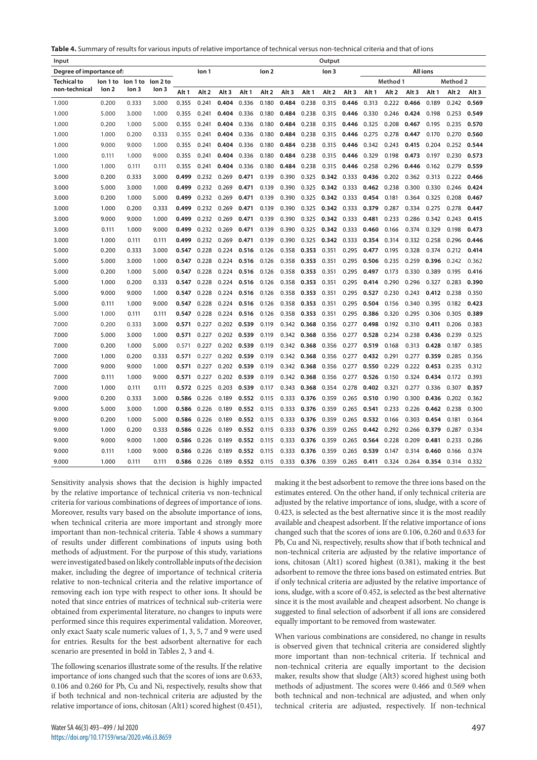| <b>Table 4.</b> Summary of results for various inputs of relative importance of technical versus non-technical criteria and that of ions |  |
|------------------------------------------------------------------------------------------------------------------------------------------|--|
|------------------------------------------------------------------------------------------------------------------------------------------|--|

| Input                    | Output           |          |                  |       |       |                                      |                  |                  |                  |       |                  |                  |                  |                 |                  |          |       |       |
|--------------------------|------------------|----------|------------------|-------|-------|--------------------------------------|------------------|------------------|------------------|-------|------------------|------------------|------------------|-----------------|------------------|----------|-------|-------|
| Degree of importance of: |                  |          |                  |       | lon 1 | lon <sub>2</sub><br>lon <sub>3</sub> |                  |                  |                  |       |                  |                  |                  | <b>All ions</b> |                  |          |       |       |
| <b>Techical to</b>       | lon 1 to         | lon 1 to | lon 2 to         |       |       |                                      |                  |                  |                  |       |                  |                  |                  | Method 1        |                  | Method 2 |       |       |
| non-technical            | lon <sub>2</sub> | lon 3    | lon <sub>3</sub> | Alt 1 | Alt 2 | Alt <sub>3</sub>                     | Alt <sub>1</sub> | Alt <sub>2</sub> | Alt <sub>3</sub> | Alt 1 | Alt <sub>2</sub> | Alt <sub>3</sub> | Alt <sub>1</sub> | Alt 2           | Alt <sub>3</sub> | Alt 1    | Alt 2 | Alt 3 |
| 1.000                    | 0.200            | 0.333    | 3.000            | 0.355 | 0.241 | 0.404                                | 0.336            | 0.180            | 0.484            | 0.238 | 0.315            | 0.446            | 0.313            | 0.222           | 0.466            | 0.189    | 0.242 | 0.569 |
| 1.000                    | 5.000            | 3.000    | 1.000            | 0.355 | 0.241 | 0.404                                | 0.336            | 0.180            | 0.484            | 0.238 | 0.315            | 0.446            | 0.330            | 0.246           | 0.424            | 0.198    | 0.253 | 0.549 |
| 1.000                    | 0.200            | 1.000    | 5.000            | 0.355 | 0.241 | 0.404                                | 0.336            | 0.180            | 0.484            | 0.238 | 0.315            | 0.446            | 0.325            | 0.208           | 0.467            | 0.195    | 0.235 | 0.570 |
| 1.000                    | 1.000            | 0.200    | 0.333            | 0.355 | 0.241 | 0.404                                | 0.336            | 0.180            | 0.484            | 0.238 | 0.315            | 0.446            | 0.275            | 0.278           | 0.447            | 0.170    | 0.270 | 0.560 |
| 1.000                    | 9.000            | 9.000    | 1.000            | 0.355 | 0.241 | 0.404                                | 0.336            | 0.180            | 0.484            | 0.238 | 0.315            | 0.446            | 0.342            | 0.243           | 0.415            | 0.204    | 0.252 | 0.544 |
| 1.000                    | 0.111            | 1.000    | 9.000            | 0.355 | 0.241 | 0.404                                | 0.336            | 0.180            | 0.484            | 0.238 | 0.315            | 0.446            | 0.329            | 0.198           | 0.473            | 0.197    | 0.230 | 0.573 |
| 1.000                    | 1.000            | 0.111    | 0.111            | 0.355 | 0.241 | 0.404                                | 0.336            | 0.180            | 0.484            | 0.238 | 0.315            | 0.446            | 0.258            | 0.296           | 0.446            | 0.162    | 0.279 | 0.559 |
| 3.000                    | 0.200            | 0.333    | 3.000            | 0.499 | 0.232 | 0.269                                | 0.471            | 0.139            | 0.390            | 0.325 | 0.342            | 0.333            | 0.436            | 0.202           | 0.362            | 0.313    | 0.222 | 0.466 |
| 3.000                    | 5.000            | 3.000    | 1.000            | 0.499 | 0.232 | 0.269                                | 0.471            | 0.139            | 0.390            | 0.325 | 0.342            | 0.333            | 0.462            | 0.238           | 0.300            | 0.330    | 0.246 | 0.424 |
| 3.000                    | 0.200            | 1.000    | 5.000            | 0.499 | 0.232 | 0.269                                | 0.471            | 0.139            | 0.390            | 0.325 | 0.342            | 0.333            | 0.454            | 0.181           | 0.364            | 0.325    | 0.208 | 0.467 |
| 3.000                    | 1.000            | 0.200    | 0.333            | 0.499 | 0.232 | 0.269                                | 0.471            | 0.139            | 0.390            | 0.325 | 0.342 0.333      |                  | 0.379            | 0.287           | 0.334            | 0.275    | 0.278 | 0.447 |
| 3.000                    | 9.000            | 9.000    | 1.000            | 0.499 | 0.232 | 0.269                                | 0.471            | 0.139            | 0.390            | 0.325 | 0.342            | 0.333            | 0.481            | 0.233           | 0.286            | 0.342    | 0.243 | 0.415 |
| 3.000                    | 0.111            | 1.000    | 9.000            | 0.499 | 0.232 | 0.269                                | 0.471            | 0.139            | 0.390            | 0.325 | 0.342            | 0.333            | 0.460            | 0.166           | 0.374            | 0.329    | 0.198 | 0.473 |
| 3.000                    | 1.000            | 0.111    | 0.111            | 0.499 | 0.232 | 0.269                                | 0.471            | 0.139            | 0.390            | 0.325 | 0.342            | 0.333            | 0.354            | 0.314           | 0.332            | 0.258    | 0.296 | 0.446 |
| 5.000                    | 0.200            | 0.333    | 3.000            | 0.547 | 0.228 | 0.224                                | 0.516            | 0.126            | 0.358            | 0.353 | 0.351            | 0.295            | 0.477            | 0.195           | 0.328            | 0.374    | 0.212 | 0.414 |
| 5.000                    | 5.000            | 3.000    | 1.000            | 0.547 | 0.228 | 0.224                                | 0.516            | 0.126            | 0.358            | 0.353 | 0.351            | 0.295            | 0.506            | 0.235           | 0.259            | 0.396    | 0.242 | 0.362 |
| 5.000                    | 0.200            | 1.000    | 5.000            | 0.547 | 0.228 | 0.224                                | 0.516            | 0.126            | 0.358            | 0.353 | 0.351            | 0.295            | 0.497            | 0.173           | 0.330            | 0.389    | 0.195 | 0.416 |
| 5.000                    | 1.000            | 0.200    | 0.333            | 0.547 | 0.228 | 0.224                                | 0.516            | 0.126            | 0.358            | 0.353 | 0.351            | 0.295            | 0.414            | 0.290           | 0.296            | 0.327    | 0.283 | 0.390 |
| 5.000                    | 9.000            | 9.000    | 1.000            | 0.547 | 0.228 | 0.224                                | 0.516            | 0.126            | 0.358            | 0.353 | 0.351            | 0.295            | 0.527            | 0.230           | 0.243            | 0.412    | 0.238 | 0.350 |
| 5.000                    | 0.111            | 1.000    | 9.000            | 0.547 | 0.228 | 0.224                                | 0.516            | 0.126            | 0.358            | 0.353 | 0.351            | 0.295            | 0.504            | 0.156           | 0.340            | 0.395    | 0.182 | 0.423 |
| 5.000                    | 1.000            | 0.111    | 0.111            | 0.547 | 0.228 | 0.224                                | 0.516            | 0.126            | 0.358            | 0.353 | 0.351            | 0.295            | 0.386            | 0.320           | 0.295            | 0.306    | 0.305 | 0.389 |
| 7.000                    | 0.200            | 0.333    | 3.000            | 0.571 | 0.227 | 0.202                                | 0.539            | 0.119            | 0.342            | 0.368 | 0.356            | 0.277            | 0.498            | 0.192           | 0.310            | 0.411    | 0.206 | 0.383 |
| 7.000                    | 5.000            | 3.000    | 1.000            | 0.571 | 0.227 | 0.202                                | 0.539            | 0.119            | 0.342            | 0.368 | 0.356            | 0.277            | 0.528            | 0.234           | 0.238            | 0.436    | 0.239 | 0.325 |
| 7.000                    | 0.200            | 1.000    | 5.000            | 0.571 | 0.227 | 0.202                                | 0.539            | 0.119            | 0.342            | 0.368 | 0.356            | 0.277            | 0.519            | 0.168           | 0.313            | 0.428    | 0.187 | 0.385 |
| 7.000                    | 1.000            | 0.200    | 0.333            | 0.571 | 0.227 | 0.202                                | 0.539            | 0.119            | 0.342            | 0.368 | 0.356            | 0.277            | 0.432            | 0.291           | 0.277            | 0.359    | 0.285 | 0.356 |
| 7.000                    | 9.000            | 9.000    | 1.000            | 0.571 | 0.227 | 0.202                                | 0.539            | 0.119            | 0.342            | 0.368 | 0.356            | 0.277            | 0.550            | 0.229           | 0.222            | 0.453    | 0.235 | 0.312 |
| 7.000                    | 0.111            | 1.000    | 9.000            | 0.571 | 0.227 | 0.202                                | 0.539            | 0.119            | 0.342            | 0.368 | 0.356            | 0.277            | 0.526            | 0.150           | 0.324            | 0.434    | 0.172 | 0.393 |
| 7.000                    | 1.000            | 0.111    | 0.111            | 0.572 | 0.225 | 0.203                                | 0.539            | 0.117            | 0.343            | 0.368 | 0.354            | 0.278            | 0.402            | 0.321           | 0.277            | 0.336    | 0.307 | 0.357 |
| 9.000                    | 0.200            | 0.333    | 3.000            | 0.586 | 0.226 | 0.189                                | 0.552            | 0.115            | 0.333            | 0.376 | 0.359            | 0.265            | 0.510            | 0.190           | 0.300            | 0.436    | 0.202 | 0.362 |
| 9.000                    | 5.000            | 3.000    | 1.000            | 0.586 | 0.226 | 0.189                                | 0.552            | 0.115            | 0.333            | 0.376 | 0.359            | 0.265            | 0.541            | 0.233           | 0.226            | 0.462    | 0.238 | 0.300 |
| 9.000                    | 0.200            | 1.000    | 5.000            | 0.586 | 0.226 | 0.189                                | 0.552            | 0.115            | 0.333            | 0.376 | 0.359            | 0.265            | 0.532            | 0.166           | 0.303            | 0.454    | 0.181 | 0.364 |
| 9.000                    | 1.000            | 0.200    | 0.333            | 0.586 | 0.226 | 0.189                                | 0.552            | 0.115            | 0.333            | 0.376 | 0.359            | 0.265            | 0.442            | 0.292           | 0.266            | 0.379    | 0.287 | 0.334 |
| 9.000                    | 9.000            | 9.000    | 1.000            | 0.586 | 0.226 | 0.189                                | 0.552            | 0.115            | 0.333            | 0.376 | 0.359            | 0.265            | 0.564            | 0.228           | 0.209            | 0.481    | 0.233 | 0.286 |
| 9.000                    | 0.111            | 1.000    | 9.000            | 0.586 | 0.226 | 0.189                                | 0.552            | 0.115            | 0.333            | 0.376 | 0.359            | 0.265            | 0.539            | 0.147           | 0.314            | 0.460    | 0.166 | 0.374 |
| 9.000                    | 1.000            | 0.111    | 0.111            | 0.586 | 0.226 | 0.189                                | 0.552            | 0.115            | 0.333            | 0.376 | 0.359            | 0.265            | 0.411            | 0.324           | 0.264            | 0.354    | 0.314 | 0.332 |

Sensitivity analysis shows that the decision is highly impacted by the relative importance of technical criteria vs non-technical criteria for various combinations of degrees of importance of ions. Moreover, results vary based on the absolute importance of ions, when technical criteria are more important and strongly more important than non-technical criteria. Table 4 shows a summary of results under different combinations of inputs using both methods of adjustment. For the purpose of this study, variations were investigated based on likely controllable inputs of the decision maker, including the degree of importance of technical criteria relative to non-technical criteria and the relative importance of removing each ion type with respect to other ions. It should be noted that since entries of matrices of technical sub-criteria were obtained from experimental literature, no changes to inputs were performed since this requires experimental validation. Moreover, only exact Saaty scale numeric values of 1, 3, 5, 7 and 9 were used for entries. Results for the best adsorbent alternative for each scenario are presented in bold in Tables 2, 3 and 4.

The following scenarios illustrate some of the results. If the relative importance of ions changed such that the scores of ions are 0.633, 0.106 and 0.260 for Pb, Cu and Ni, respectively, results show that if both technical and non-technical criteria are adjusted by the relative importance of ions, chitosan (Alt1) scored highest (0.451),

making it the best adsorbent to remove the three ions based on the estimates entered. On the other hand, if only technical criteria are adjusted by the relative importance of ions, sludge, with a score of 0.423, is selected as the best alternative since it is the most readily available and cheapest adsorbent. If the relative importance of ions changed such that the scores of ions are 0.106, 0.260 and 0.633 for Pb, Cu and Ni, respectively, results show that if both technical and non-technical criteria are adjusted by the relative importance of ions, chitosan (Alt1) scored highest (0.381), making it the best adsorbent to remove the three ions based on estimated entries. But if only technical criteria are adjusted by the relative importance of ions, sludge, with a score of 0.452, is selected as the best alternative since it is the most available and cheapest adsorbent. No change is suggested to final selection of adsorbent if all ions are considered equally important to be removed from wastewater.

When various combinations are considered, no change in results is observed given that technical criteria are considered slightly more important than non-technical criteria. If technical and non-technical criteria are equally important to the decision maker, results show that sludge (Alt3) scored highest using both methods of adjustment. The scores were 0.466 and 0.569 when both technical and non-technical are adjusted, and when only technical criteria are adjusted, respectively. If non-technical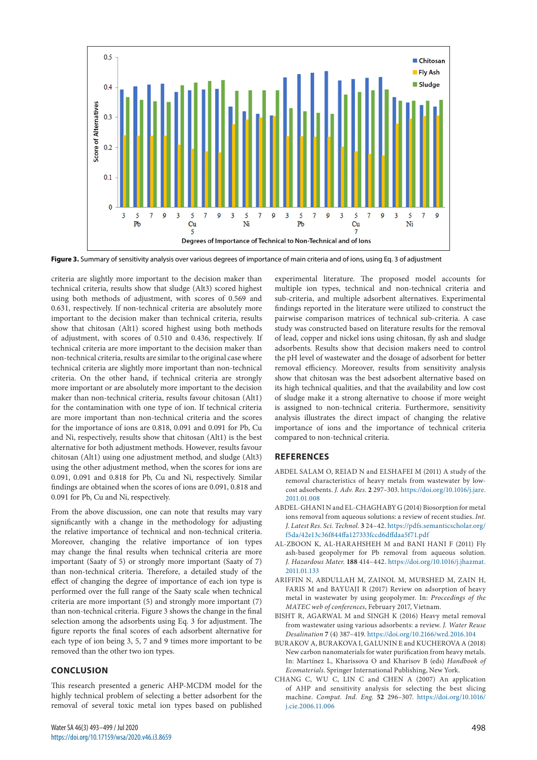

**Figure 3.** Summary of sensitivity analysis over various degrees of importance of main criteria and of ions, using Eq. 3 of adjustment

criteria are slightly more important to the decision maker than technical criteria, results show that sludge (Alt3) scored highest using both methods of adjustment, with scores of 0.569 and 0.631, respectively. If non-technical criteria are absolutely more important to the decision maker than technical criteria, results show that chitosan (Alt1) scored highest using both methods of adjustment, with scores of 0.510 and 0.436, respectively. If technical criteria are more important to the decision maker than non-technical criteria, results are similar to the original case where technical criteria are slightly more important than non-technical criteria. On the other hand, if technical criteria are strongly more important or are absolutely more important to the decision maker than non-technical criteria, results favour chitosan (Alt1) for the contamination with one type of ion. If technical criteria are more important than non-technical criteria and the scores for the importance of ions are 0.818, 0.091 and 0.091 for Pb, Cu and Ni, respectively, results show that chitosan (Alt1) is the best alternative for both adjustment methods. However, results favour chitosan (Alt1) using one adjustment method, and sludge (Alt3) using the other adjustment method, when the scores for ions are 0.091, 0.091 and 0.818 for Pb, Cu and Ni, respectively. Similar findings are obtained when the scores of ions are 0.091, 0.818 and 0.091 for Pb, Cu and Ni, respectively.

From the above discussion, one can note that results may vary significantly with a change in the methodology for adjusting the relative importance of technical and non-technical criteria. Moreover, changing the relative importance of ion types may change the final results when technical criteria are more important (Saaty of 5) or strongly more important (Saaty of 7) than non-technical criteria. Therefore, a detailed study of the effect of changing the degree of importance of each ion type is performed over the full range of the Saaty scale when technical criteria are more important (5) and strongly more important (7) than non-technical criteria. Figure 3 shows the change in the final selection among the adsorbents using Eq. 3 for adjustment. The figure reports the final scores of each adsorbent alternative for each type of ion being 3, 5, 7 and 9 times more important to be removed than the other two ion types.

## **CONCLUSION**

This research presented a generic AHP-MCDM model for the highly technical problem of selecting a better adsorbent for the removal of several toxic metal ion types based on published

experimental literature. The proposed model accounts for multiple ion types, technical and non-technical criteria and sub-criteria, and multiple adsorbent alternatives. Experimental findings reported in the literature were utilized to construct the pairwise comparison matrices of technical sub-criteria. A case study was constructed based on literature results for the removal of lead, copper and nickel ions using chitosan, fly ash and sludge adsorbents. Results show that decision makers need to control the pH level of wastewater and the dosage of adsorbent for better removal efficiency. Moreover, results from sensitivity analysis show that chitosan was the best adsorbent alternative based on its high technical qualities, and that the availability and low cost of sludge make it a strong alternative to choose if more weight is assigned to non-technical criteria. Furthermore, sensitivity analysis illustrates the direct impact of changing the relative importance of ions and the importance of technical criteria compared to non-technical criteria.

## **REFERENCES**

- ABDEL SALAM O, REIAD N and ELSHAFEI M (2011) A study of the removal characteristics of heavy metals from wastewater by lowcost adsorbents. *J. Adv. Res.* **2** 297–303. [https://doi.org/10.1016/j.jare.](https://doi.org/10.1016/j.jare.2011.01.008) [2011.01.008](https://doi.org/10.1016/j.jare.2011.01.008)
- ABDEL-GHANI N and EL-CHAGHABY G (2014) Biosorption for metal ions removal from aqueous solutions: a review of recent studies. *Int. J. Latest Res. Sci. Technol.* **3** 24–42. [https://pdfs.semanticscholar.org/](https://pdfs.semanticscholar.org/f5da/42e13c36f844ffa127333fccd6dffdaa5f71.pdf) [f5da/42e13c36f844ffa127333fccd6dffdaa5f71.pdf](https://pdfs.semanticscholar.org/f5da/42e13c36f844ffa127333fccd6dffdaa5f71.pdf)
- AL-ZBOON K, AL-HARAHSHEH M and BANI HANI F (2011) Fly ash-based geopolymer for Pb removal from aqueous solution. *J. Hazardous Mater.* **188** 414–442. [https://doi.org/10.1016/j.jhazmat.](https://doi.org/10.1016/j.jhazmat.2011.01.133) [2011.01.133](https://doi.org/10.1016/j.jhazmat.2011.01.133)
- ARIFFIN N, ABDULLAH M, ZAINOL M, MURSHED M, ZAIN H, FARIS M and BAYUAJI R (2017) Review on adsorption of heavy metal in wastewater by using geopolymer. In: *Proceedings of the MATEC web of conferences*, February 2017, Vietnam.
- BISHT R, AGARWAL M and SINGH K (2016) Heavy metal removal from wastewater using various adsorbents: a review. *J. Water Reuse Desalination* **7** (4) 387–419.<https://doi.org/10.2166/wrd.2016.104>
- BURAKOV A, BURAKOVA I, GALUNIN E and KUCHEROVA A (2018) New carbon nanomaterials for water purification from heavy metals. In: Martínez L, Kharissova O and Kharisov B (eds) *Handbook of Ecomaterials*. Springer International Publishing, New York.
- CHANG C, WU C, LIN C and CHEN A (2007) An application of AHP and sensitivity analysis for selecting the best slicing machine. *Comput. Ind. Eng.* **52** 296–307. [https://doi.org/10.1016/](https://doi.org/10.1016/j.cie.2006.11.006) [j.cie.2006.11.006](https://doi.org/10.1016/j.cie.2006.11.006)